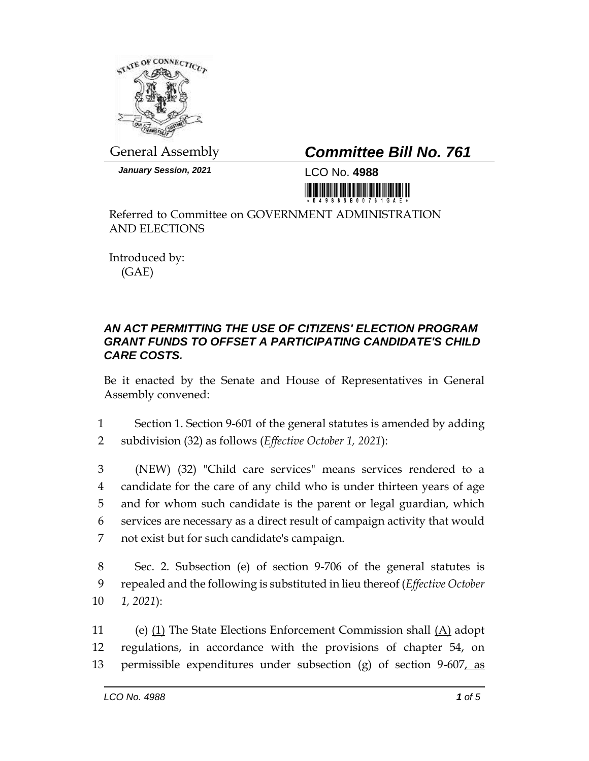

*January Session, 2021* LCO No. **4988**

## General Assembly *Committee Bill No. 761*

Referred to Committee on GOVERNMENT ADMINISTRATION AND ELECTIONS

Introduced by: (GAE)

## *AN ACT PERMITTING THE USE OF CITIZENS' ELECTION PROGRAM GRANT FUNDS TO OFFSET A PARTICIPATING CANDIDATE'S CHILD CARE COSTS.*

Be it enacted by the Senate and House of Representatives in General Assembly convened:

1 Section 1. Section 9-601 of the general statutes is amended by adding 2 subdivision (32) as follows (*Effective October 1, 2021*):

 (NEW) (32) "Child care services" means services rendered to a candidate for the care of any child who is under thirteen years of age and for whom such candidate is the parent or legal guardian, which services are necessary as a direct result of campaign activity that would not exist but for such candidate's campaign.

8 Sec. 2. Subsection (e) of section 9-706 of the general statutes is 9 repealed and the following is substituted in lieu thereof (*Effective October*  10 *1, 2021*):

11 (e) (1) The State Elections Enforcement Commission shall (A) adopt 12 regulations, in accordance with the provisions of chapter 54, on 13 permissible expenditures under subsection (g) of section 9-607, as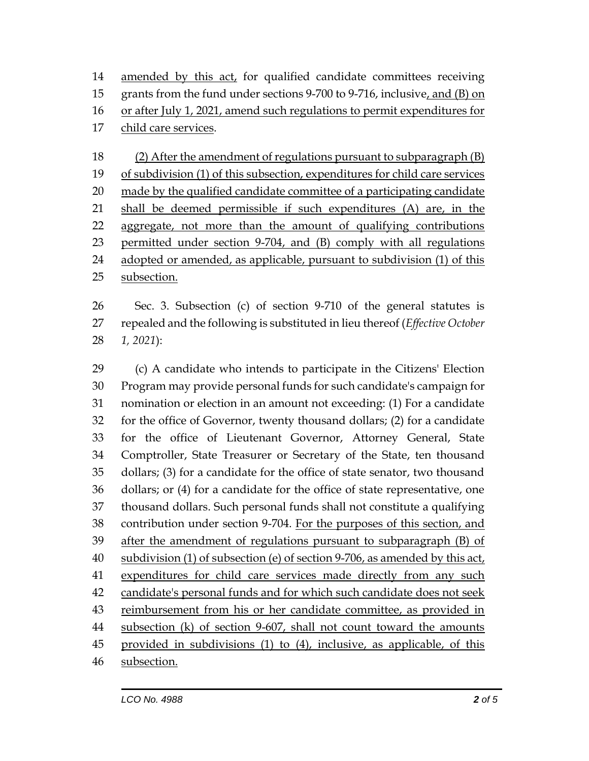amended by this act, for qualified candidate committees receiving grants from the fund under sections 9-700 to 9-716, inclusive, and (B) on or after July 1, 2021, amend such regulations to permit expenditures for child care services.

 (2) After the amendment of regulations pursuant to subparagraph (B) of subdivision (1) of this subsection, expenditures for child care services 20 made by the qualified candidate committee of a participating candidate shall be deemed permissible if such expenditures (A) are, in the aggregate, not more than the amount of qualifying contributions permitted under section 9-704, and (B) comply with all regulations adopted or amended, as applicable, pursuant to subdivision (1) of this subsection.

 Sec. 3. Subsection (c) of section 9-710 of the general statutes is repealed and the following is substituted in lieu thereof (*Effective October 1, 2021*):

 (c) A candidate who intends to participate in the Citizens' Election Program may provide personal funds for such candidate's campaign for nomination or election in an amount not exceeding: (1) For a candidate for the office of Governor, twenty thousand dollars; (2) for a candidate for the office of Lieutenant Governor, Attorney General, State Comptroller, State Treasurer or Secretary of the State, ten thousand dollars; (3) for a candidate for the office of state senator, two thousand dollars; or (4) for a candidate for the office of state representative, one thousand dollars. Such personal funds shall not constitute a qualifying contribution under section 9-704. For the purposes of this section, and after the amendment of regulations pursuant to subparagraph (B) of subdivision (1) of subsection (e) of section 9-706, as amended by this act, expenditures for child care services made directly from any such candidate's personal funds and for which such candidate does not seek reimbursement from his or her candidate committee, as provided in subsection (k) of section 9-607, shall not count toward the amounts provided in subdivisions (1) to (4), inclusive, as applicable, of this subsection.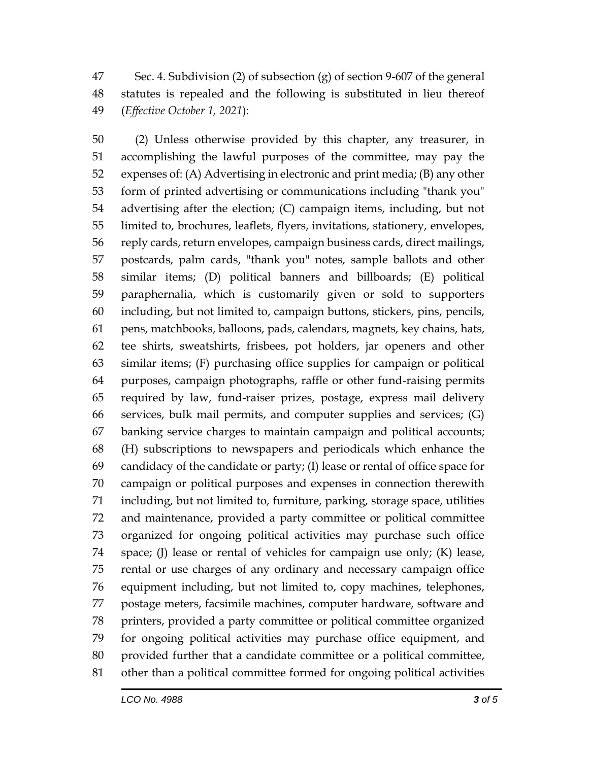Sec. 4. Subdivision (2) of subsection (g) of section 9-607 of the general statutes is repealed and the following is substituted in lieu thereof (*Effective October 1, 2021*):

 (2) Unless otherwise provided by this chapter, any treasurer, in accomplishing the lawful purposes of the committee, may pay the expenses of: (A) Advertising in electronic and print media; (B) any other form of printed advertising or communications including "thank you" advertising after the election; (C) campaign items, including, but not limited to, brochures, leaflets, flyers, invitations, stationery, envelopes, reply cards, return envelopes, campaign business cards, direct mailings, postcards, palm cards, "thank you" notes, sample ballots and other similar items; (D) political banners and billboards; (E) political paraphernalia, which is customarily given or sold to supporters including, but not limited to, campaign buttons, stickers, pins, pencils, pens, matchbooks, balloons, pads, calendars, magnets, key chains, hats, tee shirts, sweatshirts, frisbees, pot holders, jar openers and other similar items; (F) purchasing office supplies for campaign or political purposes, campaign photographs, raffle or other fund-raising permits required by law, fund-raiser prizes, postage, express mail delivery services, bulk mail permits, and computer supplies and services; (G) banking service charges to maintain campaign and political accounts; (H) subscriptions to newspapers and periodicals which enhance the candidacy of the candidate or party; (I) lease or rental of office space for campaign or political purposes and expenses in connection therewith including, but not limited to, furniture, parking, storage space, utilities and maintenance, provided a party committee or political committee organized for ongoing political activities may purchase such office space; (J) lease or rental of vehicles for campaign use only; (K) lease, rental or use charges of any ordinary and necessary campaign office equipment including, but not limited to, copy machines, telephones, postage meters, facsimile machines, computer hardware, software and printers, provided a party committee or political committee organized for ongoing political activities may purchase office equipment, and provided further that a candidate committee or a political committee, other than a political committee formed for ongoing political activities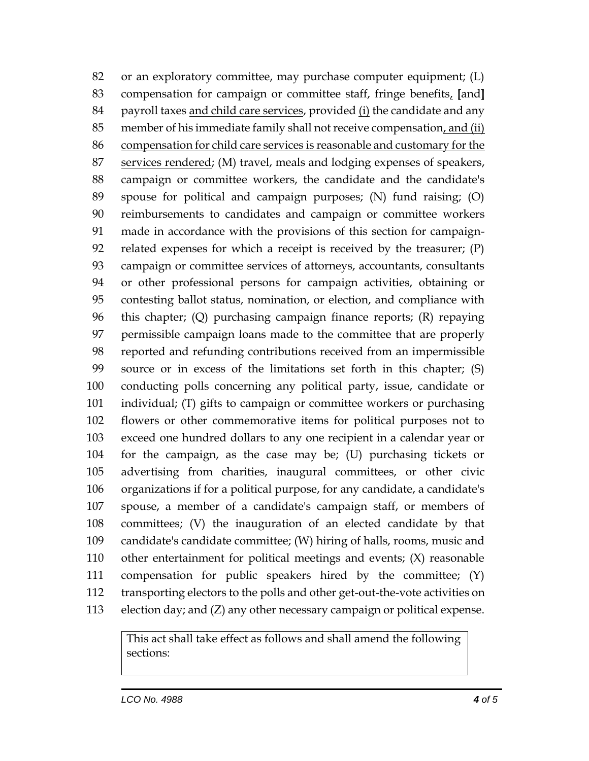or an exploratory committee, may purchase computer equipment; (L) compensation for campaign or committee staff, fringe benefits, **[**and**]** payroll taxes and child care services, provided (i) the candidate and any member of his immediate family shall not receive compensation, and (ii) compensation for child care services is reasonable and customary for the services rendered; (M) travel, meals and lodging expenses of speakers, campaign or committee workers, the candidate and the candidate's spouse for political and campaign purposes; (N) fund raising; (O) reimbursements to candidates and campaign or committee workers made in accordance with the provisions of this section for campaign- related expenses for which a receipt is received by the treasurer; (P) campaign or committee services of attorneys, accountants, consultants or other professional persons for campaign activities, obtaining or contesting ballot status, nomination, or election, and compliance with this chapter; (Q) purchasing campaign finance reports; (R) repaying permissible campaign loans made to the committee that are properly reported and refunding contributions received from an impermissible source or in excess of the limitations set forth in this chapter; (S) conducting polls concerning any political party, issue, candidate or individual; (T) gifts to campaign or committee workers or purchasing flowers or other commemorative items for political purposes not to exceed one hundred dollars to any one recipient in a calendar year or for the campaign, as the case may be; (U) purchasing tickets or advertising from charities, inaugural committees, or other civic organizations if for a political purpose, for any candidate, a candidate's spouse, a member of a candidate's campaign staff, or members of committees; (V) the inauguration of an elected candidate by that candidate's candidate committee; (W) hiring of halls, rooms, music and other entertainment for political meetings and events; (X) reasonable compensation for public speakers hired by the committee; (Y) transporting electors to the polls and other get-out-the-vote activities on election day; and (Z) any other necessary campaign or political expense.

This act shall take effect as follows and shall amend the following sections: